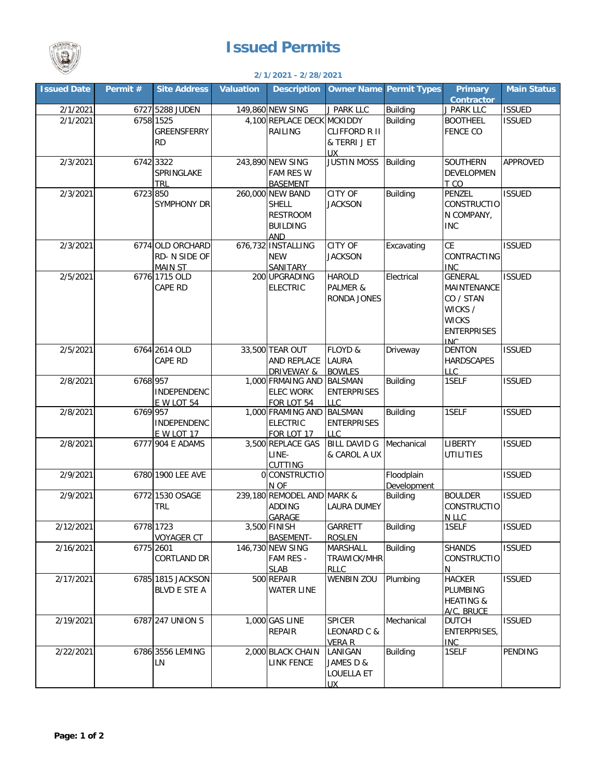## **Issued Permits**



## **2/1/2021 - 2/28/2021**

| <b>Issued Date</b> | Permit # | <b>Site Address</b> | <b>Valuation</b> | <b>Description</b>              |                      | <b>Owner Name Permit Types</b> | <b>Primary</b><br><b>Contractor</b> | <b>Main Status</b> |
|--------------------|----------|---------------------|------------------|---------------------------------|----------------------|--------------------------------|-------------------------------------|--------------------|
| 2/1/2021           |          | 6727 5288 JUDEN     |                  | 149,860 NEW SING                | J PARK LLC           | <b>Building</b>                | J PARK LLC                          | <b>ISSUED</b>      |
| 2/1/2021           |          | 6758 1525           |                  | 4,100 REPLACE DECK MCKIDDY      |                      | <b>Building</b>                | <b>BOOTHEEL</b>                     | <b>ISSUED</b>      |
|                    |          | GREENSFERRY         |                  | RAILING                         | <b>CLIFFORD R II</b> |                                | <b>FENCE CO</b>                     |                    |
|                    |          | <b>RD</b>           |                  |                                 | & TERRI J ET         |                                |                                     |                    |
|                    |          |                     |                  |                                 | <b>UX</b>            |                                |                                     |                    |
| 2/3/2021           |          | 6742 3322           |                  | 243,890 NEW SING                | <b>JUSTIN MOSS</b>   | <b>Building</b>                | <b>SOUTHERN</b>                     | APPROVED           |
|                    |          | SPRINGLAKE          |                  | <b>FAM RES W</b>                |                      |                                | <b>DEVELOPMEN</b>                   |                    |
|                    |          | <b>TRL</b>          |                  | <b>BASEMENT</b>                 |                      |                                | T CO                                |                    |
| 2/3/2021           | 6723 850 |                     |                  | 260,000 NEW BAND                | CITY OF              | <b>Building</b>                | PENZEL                              | <b>ISSUED</b>      |
|                    |          | SYMPHONY DR         |                  | <b>SHELL</b>                    | <b>JACKSON</b>       |                                | <b>CONSTRUCTIO</b>                  |                    |
|                    |          |                     |                  | <b>RESTROOM</b>                 |                      |                                | N COMPANY,                          |                    |
|                    |          |                     |                  | <b>BUILDING</b>                 |                      |                                | <b>INC</b>                          |                    |
|                    |          |                     |                  | <b>AND</b>                      |                      |                                |                                     |                    |
| 2/3/2021           |          | 6774 OLD ORCHARD    |                  | 676,732 INSTALLING              | CITY OF              | Excavating                     | <b>CE</b>                           | <b>ISSUED</b>      |
|                    |          | RD- N SIDE OF       |                  | <b>NEW</b>                      | <b>JACKSON</b>       |                                | CONTRACTING                         |                    |
|                    |          | <b>MAIN ST</b>      |                  | SANITARY                        |                      |                                | <b>INC</b>                          |                    |
| 2/5/2021           |          | 6776 1715 OLD       |                  | 200 UPGRADING                   | <b>HAROLD</b>        | Electrical                     | <b>GENERAL</b>                      | <b>ISSUED</b>      |
|                    |          | CAPE RD             |                  | <b>ELECTRIC</b>                 | PALMER &             |                                | MAINTENANCE                         |                    |
|                    |          |                     |                  |                                 | <b>RONDA JONES</b>   |                                | CO / STAN                           |                    |
|                    |          |                     |                  |                                 |                      |                                | WICKS /                             |                    |
|                    |          |                     |                  |                                 |                      |                                | <b>WICKS</b>                        |                    |
|                    |          |                     |                  |                                 |                      |                                | <b>ENTERPRISES</b>                  |                    |
|                    |          |                     |                  |                                 |                      |                                | INC.                                |                    |
| 2/5/2021           |          | 6764 2614 OLD       |                  | 33,500 TEAR OUT                 | FLOYD &              | Driveway                       | <b>DENTON</b>                       | <b>ISSUED</b>      |
|                    |          | CAPE RD             |                  | AND REPLACE                     | <b>LAURA</b>         |                                | <b>HARDSCAPES</b>                   |                    |
|                    |          |                     |                  | <b>DRIVEWAY &amp;</b>           | <b>BOWLES</b>        |                                | LLC.                                |                    |
| 2/8/2021           | 6768 957 |                     |                  | 1,000 FRMAING AND               | <b>BALSMAN</b>       | <b>Building</b>                | 1SELF                               | <b>ISSUED</b>      |
|                    |          | <b>INDEPENDENC</b>  |                  | <b>ELEC WORK</b>                | <b>ENTERPRISES</b>   |                                |                                     |                    |
|                    |          | <b>E W LOT 54</b>   |                  | FOR LOT 54                      | <b>LLC</b>           |                                |                                     |                    |
| 2/8/2021           | 6769 957 |                     |                  | 1,000 FRAMING AND               | <b>BALSMAN</b>       | <b>Building</b>                | 1SELF                               | <b>ISSUED</b>      |
|                    |          | <b>INDEPENDENC</b>  |                  | <b>ELECTRIC</b>                 | <b>ENTERPRISES</b>   |                                |                                     |                    |
|                    |          | <b>E W LOT 17</b>   |                  | FOR LOT 17                      | <b>LLC</b>           |                                |                                     |                    |
| 2/8/2021           |          | 6777 904 E ADAMS    |                  | 3,500 REPLACE GAS               | <b>BILL DAVID G</b>  | Mechanical                     | <b>LIBERTY</b>                      | <b>ISSUED</b>      |
|                    |          |                     |                  | LINE-                           | & CAROL A UX         |                                | <b>UTILITIES</b>                    |                    |
|                    |          | 6780 1900 LEE AVE   |                  | <b>CUTTING</b><br>0 CONSTRUCTIO |                      |                                |                                     | <b>ISSUED</b>      |
| 2/9/2021           |          |                     |                  | N OF                            |                      | Floodplain<br>Development      |                                     |                    |
| 2/9/2021           |          | 6772 1530 OSAGE     |                  | 239,180 REMODEL AND MARK &      |                      | <b>Building</b>                | <b>BOULDER</b>                      | <b>ISSUED</b>      |
|                    |          | <b>TRL</b>          |                  | <b>ADDING</b>                   | <b>LAURA DUMEY</b>   |                                | <b>CONSTRUCTIO</b>                  |                    |
|                    |          |                     |                  | GARAGE                          |                      |                                | N LLC                               |                    |
| 2/12/2021          |          | 6778 1723           |                  | 3,500 FINISH                    | GARRETT              | <b>Building</b>                | 1SELF                               | <b>ISSUED</b>      |
|                    |          | <b>VOYAGER CT</b>   |                  | <b>BASEMENT-</b>                | <b>ROSLEN</b>        |                                |                                     |                    |
| 2/16/2021          |          | 6775 2601           |                  | 146,730 NEW SING                | MARSHALL             | <b>Building</b>                | <b>SHANDS</b>                       | <b>ISSUED</b>      |
|                    |          | CORTLAND DR         |                  | FAM RES -                       | TRAWICK/MHR          |                                | <b>CONSTRUCTIO</b>                  |                    |
|                    |          |                     |                  | <b>SLAB</b>                     | <b>RLLC</b>          |                                | N                                   |                    |
| 2/17/2021          |          | 6785 1815 JACKSON   |                  | 500 REPAIR                      | <b>WENBIN ZOU</b>    | Plumbing                       | <b>HACKER</b>                       | <b>ISSUED</b>      |
|                    |          | <b>BLVD E STE A</b> |                  | <b>WATER LINE</b>               |                      |                                | PLUMBING                            |                    |
|                    |          |                     |                  |                                 |                      |                                | <b>HEATING &amp;</b>                |                    |
|                    |          |                     |                  |                                 |                      |                                | A/C, BRUCE                          |                    |
| 2/19/2021          |          | 6787 247 UNION S    |                  | 1,000 GAS LINE                  | <b>SPICER</b>        | Mechanical                     | <b>DUTCH</b>                        | <b>ISSUED</b>      |
|                    |          |                     |                  | REPAIR                          | LEONARD C &          |                                | <b>ENTERPRISES,</b>                 |                    |
|                    |          |                     |                  |                                 | <b>VERA R</b>        |                                | <b>INC</b>                          |                    |
| 2/22/2021          |          | 6786 3556 LEMING    |                  | 2,000 BLACK CHAIN               | LANIGAN              | <b>Building</b>                | 1SELF                               | PENDING            |
|                    |          | LN                  |                  | <b>LINK FENCE</b>               | JAMES D &            |                                |                                     |                    |
|                    |          |                     |                  |                                 | LOUELLA ET           |                                |                                     |                    |
|                    |          |                     |                  |                                 | UX.                  |                                |                                     |                    |